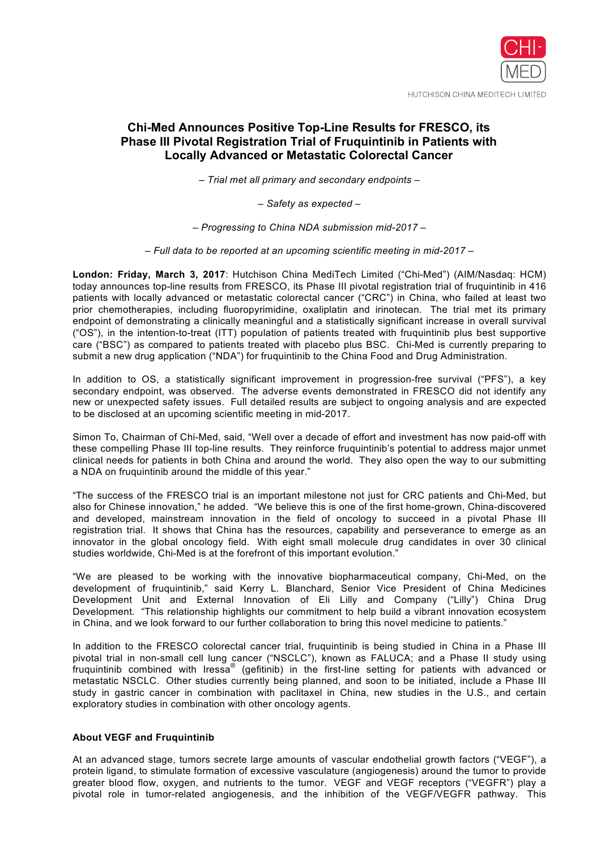

# **Chi-Med Announces Positive Top-Line Results for FRESCO, its Phase III Pivotal Registration Trial of Fruquintinib in Patients with Locally Advanced or Metastatic Colorectal Cancer**

*– Trial met all primary and secondary endpoints –*

*– Safety as expected –*

*– Progressing to China NDA submission mid-2017 –*

*– Full data to be reported at an upcoming scientific meeting in mid-2017 –*

**London: Friday, March 3, 2017**: Hutchison China MediTech Limited ("Chi-Med") (AIM/Nasdaq: HCM) today announces top-line results from FRESCO, its Phase III pivotal registration trial of fruquintinib in 416 patients with locally advanced or metastatic colorectal cancer ("CRC") in China, who failed at least two prior chemotherapies, including fluoropyrimidine, oxaliplatin and irinotecan. The trial met its primary endpoint of demonstrating a clinically meaningful and a statistically significant increase in overall survival ("OS"), in the intention-to-treat (ITT) population of patients treated with fruquintinib plus best supportive care ("BSC") as compared to patients treated with placebo plus BSC. Chi-Med is currently preparing to submit a new drug application ("NDA") for fruquintinib to the China Food and Drug Administration.

In addition to OS, a statistically significant improvement in progression-free survival ("PFS"), a key secondary endpoint, was observed. The adverse events demonstrated in FRESCO did not identify any new or unexpected safety issues. Full detailed results are subject to ongoing analysis and are expected to be disclosed at an upcoming scientific meeting in mid-2017.

Simon To, Chairman of Chi-Med, said, "Well over a decade of effort and investment has now paid-off with these compelling Phase III top-line results. They reinforce fruquintinib's potential to address major unmet clinical needs for patients in both China and around the world. They also open the way to our submitting a NDA on fruquintinib around the middle of this year."

"The success of the FRESCO trial is an important milestone not just for CRC patients and Chi-Med, but also for Chinese innovation," he added. "We believe this is one of the first home-grown, China-discovered and developed, mainstream innovation in the field of oncology to succeed in a pivotal Phase III registration trial. It shows that China has the resources, capability and perseverance to emerge as an innovator in the global oncology field. With eight small molecule drug candidates in over 30 clinical studies worldwide, Chi-Med is at the forefront of this important evolution."

"We are pleased to be working with the innovative biopharmaceutical company, Chi-Med, on the development of fruquintinib," said Kerry L. Blanchard, Senior Vice President of China Medicines Development Unit and External Innovation of Eli Lilly and Company ("Lilly") China Drug Development. "This relationship highlights our commitment to help build a vibrant innovation ecosystem in China, and we look forward to our further collaboration to bring this novel medicine to patients."

In addition to the FRESCO colorectal cancer trial, fruquintinib is being studied in China in a Phase III pivotal trial in non-small cell lung cancer ("NSCLC"), known as FALUCA; and a Phase II study using fruquintinib combined with Iressa® (gefitinib) in the first-line setting for patients with advanced or metastatic NSCLC. Other studies currently being planned, and soon to be initiated, include a Phase III study in gastric cancer in combination with paclitaxel in China, new studies in the U.S., and certain exploratory studies in combination with other oncology agents.

# **About VEGF and Fruquintinib**

At an advanced stage, tumors secrete large amounts of vascular endothelial growth factors ("VEGF"), a protein ligand, to stimulate formation of excessive vasculature (angiogenesis) around the tumor to provide greater blood flow, oxygen, and nutrients to the tumor. VEGF and VEGF receptors ("VEGFR") play a pivotal role in tumor-related angiogenesis, and the inhibition of the VEGF/VEGFR pathway. This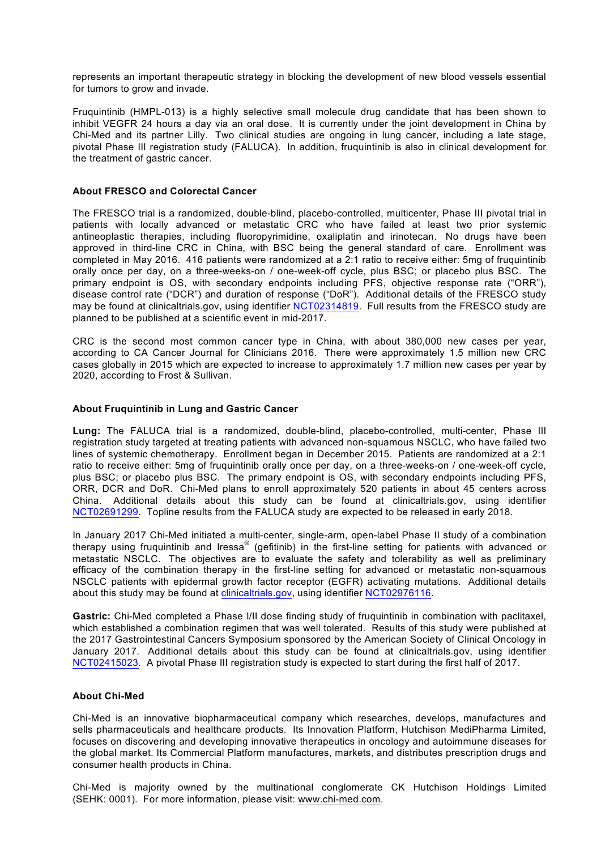represents an important therapeutic strategy in blocking the development of new blood vessels essential for tumors to grow and invade.

Fruquintinib (HMPL-013) is a highly selective small molecule drug candidate that has been shown to inhibit VEGFR 24 hours a day via an oral dose. It is currently under the joint development in China by Chi-Med and its partner Lilly. Two clinical studies are ongoing in lung cancer, including a late stage, pivotal Phase III registration study (FALUCA). In addition, fruquintinib is also in clinical development for the treatment of gastric cancer.

# **About FRESCO and Colorectal Cancer**

The FRESCO trial is a randomized, double-blind, placebo-controlled, multicenter, Phase III pivotal trial in patients with locally advanced or metastatic CRC who have failed at least two prior systemic antineoplastic therapies, including fluoropyrimidine, oxaliplatin and irinotecan. No drugs have been approved in third-line CRC in China, with BSC being the general standard of care. Enrollment was completed in May 2016. 416 patients were randomized at a 2:1 ratio to receive either: 5mg of fruquintinib orally once per day, on a three-weeks-on / one-week-off cycle, plus BSC; or placebo plus BSC. The primary endpoint is OS, with secondary endpoints including PFS, objective response rate ("ORR"), disease control rate ("DCR") and duration of response ("DoR"). Additional details of the FRESCO study may be found at clinicaltrials.gov, using identifier NCT02314819. Full results from the FRESCO study are planned to be published at a scientific event in mid-2017.

CRC is the second most common cancer type in China, with about 380,000 new cases per year, according to CA Cancer Journal for Clinicians 2016. There were approximately 1.5 million new CRC cases globally in 2015 which are expected to increase to approximately 1.7 million new cases per year by 2020, according to Frost & Sullivan.

# **About Fruquintinib in Lung and Gastric Cancer**

**Lung:** The FALUCA trial is a randomized, double-blind, placebo-controlled, multi-center, Phase III registration study targeted at treating patients with advanced non-squamous NSCLC, who have failed two lines of systemic chemotherapy. Enrollment began in December 2015. Patients are randomized at a 2:1 ratio to receive either: 5mg of fruquintinib orally once per day, on a three-weeks-on / one-week-off cycle, plus BSC; or placebo plus BSC. The primary endpoint is OS, with secondary endpoints including PFS, ORR, DCR and DoR. Chi-Med plans to enroll approximately 520 patients in about 45 centers across China. Additional details about this study can be found at clinicaltrials.gov, using identifier NCT02691299. Topline results from the FALUCA study are expected to be released in early 2018.

In January 2017 Chi-Med initiated a multi-center, single-arm, open-label Phase II study of a combination therapy using fruquintinib and Iressa® (gefitinib) in the first-line setting for patients with advanced or metastatic NSCLC. The objectives are to evaluate the safety and tolerability as well as preliminary efficacy of the combination therapy in the first-line setting for advanced or metastatic non-squamous NSCLC patients with epidermal growth factor receptor (EGFR) activating mutations. Additional details about this study may be found at clinicaltrials.gov, using identifier NCT02976116.

**Gastric:** Chi-Med completed a Phase I/II dose finding study of fruquintinib in combination with paclitaxel, which established a combination regimen that was well tolerated. Results of this study were published at the 2017 Gastrointestinal Cancers Symposium sponsored by the American Society of Clinical Oncology in January 2017. Additional details about this study can be found at clinicaltrials.gov, using identifier NCT02415023. A pivotal Phase III registration study is expected to start during the first half of 2017.

#### **About Chi-Med**

Chi-Med is an innovative biopharmaceutical company which researches, develops, manufactures and sells pharmaceuticals and healthcare products. Its Innovation Platform, Hutchison MediPharma Limited, focuses on discovering and developing innovative therapeutics in oncology and autoimmune diseases for the global market. Its Commercial Platform manufactures, markets, and distributes prescription drugs and consumer health products in China.

Chi-Med is majority owned by the multinational conglomerate CK Hutchison Holdings Limited (SEHK: 0001). For more information, please visit: www.chi-med.com.